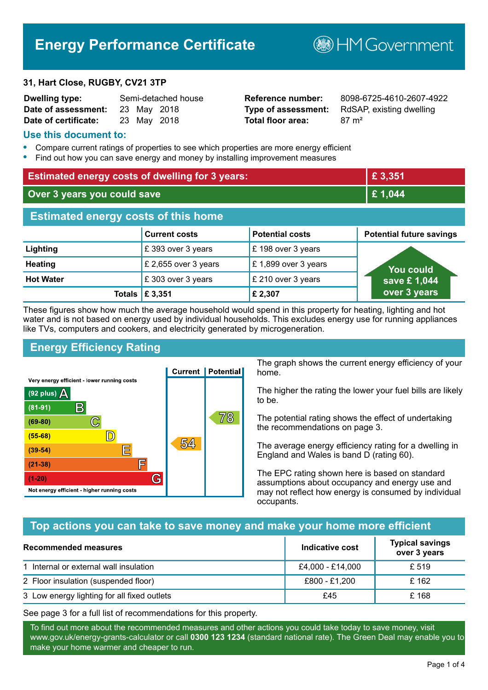# **Energy Performance Certificate**

#### **31, Hart Close, RUGBY, CV21 3TP**

| <b>Dwelling type:</b>           |  | Semi-detached house |
|---------------------------------|--|---------------------|
| Date of assessment: 23 May 2018 |  |                     |
| Date of certificate:            |  | 23 May 2018         |

# **Total floor area:** 87 m<sup>2</sup>

**Dwelling type:** Semi-detached house **Reference number:** 8098-6725-4610-2607-4922 **Type of assessment:** RdSAP, existing dwelling

**BHM Government** 

#### **Use this document to:**

- **•** Compare current ratings of properties to see which properties are more energy efficient
- **•** Find out how you can save energy and money by installing improvement measures

| <b>Estimated energy costs of dwelling for 3 years:</b> |                           |                        | £ 3,351                         |
|--------------------------------------------------------|---------------------------|------------------------|---------------------------------|
| Over 3 years you could save                            |                           | £1,044                 |                                 |
| <b>Estimated energy costs of this home</b>             |                           |                        |                                 |
|                                                        | <b>Current costs</b>      | <b>Potential costs</b> | <b>Potential future savings</b> |
| Lighting                                               | £393 over 3 years         | £198 over 3 years      |                                 |
| <b>Heating</b>                                         | £ 2,655 over 3 years      | £1,899 over 3 years    | <b>You could</b>                |
| <b>Hot Water</b>                                       | £303 over 3 years         | £ 210 over 3 years     | save £1,044                     |
|                                                        | Totals $\mathsf{E}$ 3,351 | £ 2,307                | over 3 years                    |

These figures show how much the average household would spend in this property for heating, lighting and hot water and is not based on energy used by individual households. This excludes energy use for running appliances like TVs, computers and cookers, and electricity generated by microgeneration.

# **Energy Efficiency Rating**



The graph shows the current energy efficiency of your home.

The higher the rating the lower your fuel bills are likely to be.

The potential rating shows the effect of undertaking the recommendations on page 3.

The average energy efficiency rating for a dwelling in England and Wales is band D (rating 60).

The EPC rating shown here is based on standard assumptions about occupancy and energy use and may not reflect how energy is consumed by individual occupants.

## **Top actions you can take to save money and make your home more efficient**

| <b>Recommended measures</b>                 | Indicative cost  | <b>Typical savings</b><br>over 3 years |
|---------------------------------------------|------------------|----------------------------------------|
| 1 Internal or external wall insulation      | £4,000 - £14,000 | £ 519                                  |
| 2 Floor insulation (suspended floor)        | £800 - £1,200    | £162                                   |
| 3 Low energy lighting for all fixed outlets | £45              | £ 168                                  |

See page 3 for a full list of recommendations for this property.

To find out more about the recommended measures and other actions you could take today to save money, visit www.gov.uk/energy-grants-calculator or call **0300 123 1234** (standard national rate). The Green Deal may enable you to make your home warmer and cheaper to run.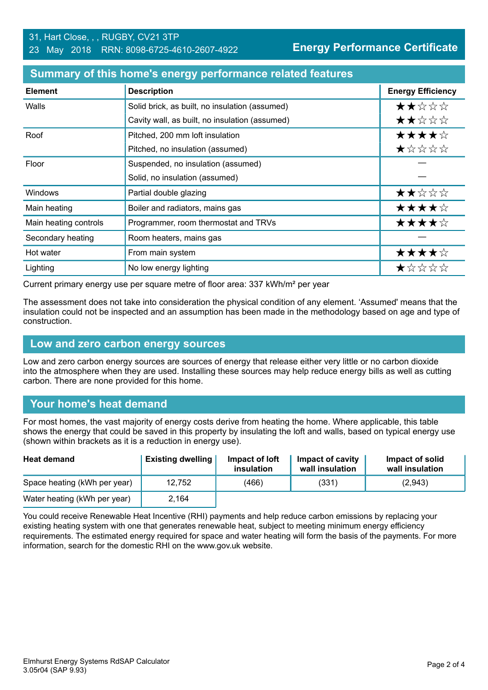| <b>Element</b>        | <b>Description</b>                             | <b>Energy Efficiency</b> |
|-----------------------|------------------------------------------------|--------------------------|
| Walls                 | Solid brick, as built, no insulation (assumed) | ★★☆☆☆                    |
|                       | Cavity wall, as built, no insulation (assumed) | ★★☆☆☆                    |
| Roof                  | Pitched, 200 mm loft insulation                | ★★★★☆                    |
|                       | Pitched, no insulation (assumed)               | ★☆☆☆☆                    |
| Floor                 | Suspended, no insulation (assumed)             |                          |
|                       | Solid, no insulation (assumed)                 |                          |
| Windows               | Partial double glazing                         | ★★☆☆☆                    |
| Main heating          | Boiler and radiators, mains gas                | ★★★★☆                    |
| Main heating controls | Programmer, room thermostat and TRVs           | ★★★★☆                    |
| Secondary heating     | Room heaters, mains gas                        |                          |
| Hot water             | From main system                               | ★★★★☆                    |
| Lighting              | No low energy lighting                         | ★☆☆☆☆                    |

#### **Summary of this home's energy performance related features**

Current primary energy use per square metre of floor area: 337 kWh/m² per year

The assessment does not take into consideration the physical condition of any element. 'Assumed' means that the insulation could not be inspected and an assumption has been made in the methodology based on age and type of construction.

#### **Low and zero carbon energy sources**

Low and zero carbon energy sources are sources of energy that release either very little or no carbon dioxide into the atmosphere when they are used. Installing these sources may help reduce energy bills as well as cutting carbon. There are none provided for this home.

## **Your home's heat demand**

For most homes, the vast majority of energy costs derive from heating the home. Where applicable, this table shows the energy that could be saved in this property by insulating the loft and walls, based on typical energy use (shown within brackets as it is a reduction in energy use).

| <b>Heat demand</b>           | <b>Existing dwelling</b> | Impact of loft<br>insulation | <b>Impact of cavity</b><br>wall insulation | Impact of solid<br>wall insulation |
|------------------------------|--------------------------|------------------------------|--------------------------------------------|------------------------------------|
| Space heating (kWh per year) | 12.752                   | (466)                        | (331)                                      | (2,943)                            |
| Water heating (kWh per year) | 2,164                    |                              |                                            |                                    |

You could receive Renewable Heat Incentive (RHI) payments and help reduce carbon emissions by replacing your existing heating system with one that generates renewable heat, subject to meeting minimum energy efficiency requirements. The estimated energy required for space and water heating will form the basis of the payments. For more information, search for the domestic RHI on the www.gov.uk website.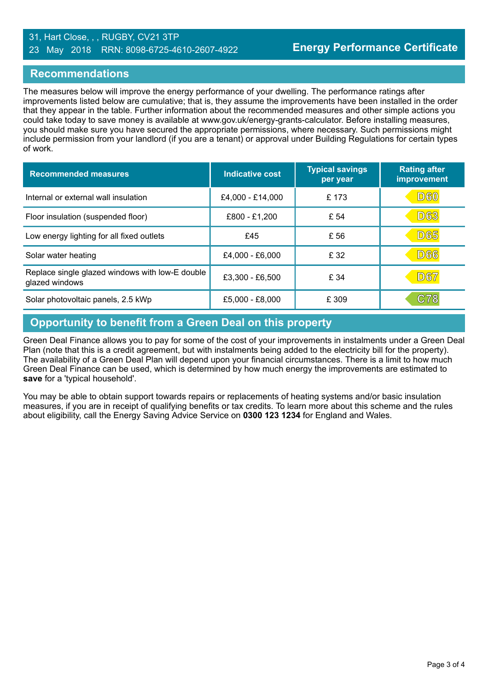#### 31, Hart Close, , , RUGBY, CV21 3TP 23 May 2018 RRN: 8098-6725-4610-2607-4922

#### **Recommendations**

The measures below will improve the energy performance of your dwelling. The performance ratings after improvements listed below are cumulative; that is, they assume the improvements have been installed in the order that they appear in the table. Further information about the recommended measures and other simple actions you could take today to save money is available at www.gov.uk/energy-grants-calculator. Before installing measures, you should make sure you have secured the appropriate permissions, where necessary. Such permissions might include permission from your landlord (if you are a tenant) or approval under Building Regulations for certain types of work.

| <b>Recommended measures</b>                                       | Indicative cost  | <b>Typical savings</b><br>per year | <b>Rating after</b><br>improvement |
|-------------------------------------------------------------------|------------------|------------------------------------|------------------------------------|
| Internal or external wall insulation                              | £4,000 - £14,000 | £173                               | <b>D60</b>                         |
| Floor insulation (suspended floor)                                | £800 - £1,200    | £ 54                               | <b>D63</b>                         |
| Low energy lighting for all fixed outlets                         | £45              | £ 56                               | <b>D65</b>                         |
| Solar water heating                                               | £4,000 - £6,000  | £ 32                               | <b>D66</b>                         |
| Replace single glazed windows with low-E double<br>glazed windows | £3,300 - £6,500  | £ 34                               | <b>D67</b>                         |
| Solar photovoltaic panels, 2.5 kWp                                | £5,000 - £8,000  | £ 309                              | C78                                |

# **Opportunity to benefit from a Green Deal on this property**

Green Deal Finance allows you to pay for some of the cost of your improvements in instalments under a Green Deal Plan (note that this is a credit agreement, but with instalments being added to the electricity bill for the property). The availability of a Green Deal Plan will depend upon your financial circumstances. There is a limit to how much Green Deal Finance can be used, which is determined by how much energy the improvements are estimated to **save** for a 'typical household'.

You may be able to obtain support towards repairs or replacements of heating systems and/or basic insulation measures, if you are in receipt of qualifying benefits or tax credits. To learn more about this scheme and the rules about eligibility, call the Energy Saving Advice Service on **0300 123 1234** for England and Wales.